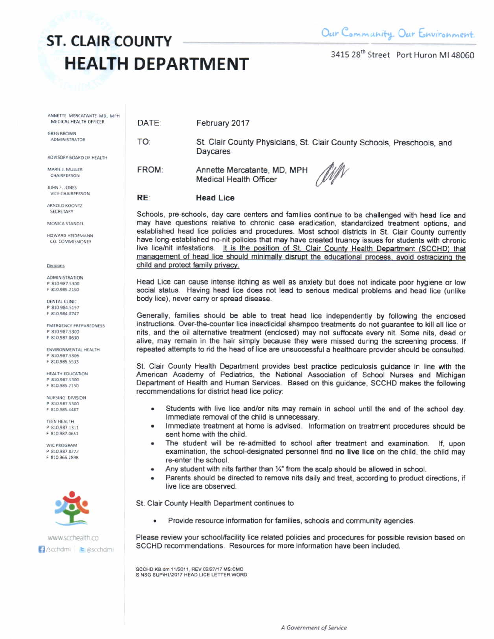DATE:

TO:

3415 28<sup>th</sup> Street Port Huron MI 48060

ANNETTE MERCATANTE MD, MPH MEDICAL HEALTH OFFICER

**GREG BROWN ADMINISTRATOR** 

ADVISORY BOARD OF HEALTH

MARIE J. MULLER CHAIRPERSON

JOHN F. JONES VICE CHAIRPERSON

ARNOLD KOONTZ SECRETARY

MONICA STANDEL

HOWARD HEIDEMANN CO. COMMISSIONER

Divisions

ADMINISTRATION P 810.987.5300 F 810.985.2150

DENTAL CLINIC P 810.984.5197 F 810,984,0747

**EMERGENCY PREPAREDNESS** P 810.987.5300 F 810.987.0630

ENVIRONMENTAL HEALTH P 810.987.5306 F 810 985 5533

HEALTH EDUCATION P 810.987.5300 F 810,985,2150

NURSING DIVISION P 810.987.5300 F 810.985.4487

TEEN HEALTH P 810 987 1311 F 810.987.0651

WIC PROGRAM 0.810.987.9777 F 810.966.2898



February 2017

St. Clair County Physicians, St. Clair County Schools, Preschools, and **Daycares** 

FROM: Annette Mercatante, MD, MPH **Medical Health Officer** 



#### RE: **Head Lice**

Schools, pre-schools, day care centers and families continue to be challenged with head lice and may have questions relative to chronic case eradication, standardized treatment options, and established head lice policies and procedures. Most school districts in St. Clair County currently have long-established no-nit policies that may have created truancy issues for students with chronic live lice/nit infestations. It is the position of St. Clair County Health Department (SCCHD) that management of head lice should minimally disrupt the educational process, avoid ostracizing the child and protect family privacy.

Head Lice can cause intense itching as well as anxiety but does not indicate poor hygiene or low social status. Having head lice does not lead to serious medical problems and head lice (unlike body lice), never carry or spread disease.

Generally, families should be able to treat head lice independently by following the enclosed instructions. Over-the-counter lice insecticidal shampoo treatments do not quarantee to kill all lice or nits, and the oil alternative treatment (enclosed) may not suffocate every nit. Some nits, dead or alive, may remain in the hair simply because they were missed during the screening process. If repeated attempts to rid the head of lice are unsuccessful a healthcare provider should be consulted.

St. Clair County Health Department provides best practice pediculosis guidance in line with the American Academy of Pediatrics, the National Association of School Nurses and Michigan Department of Health and Human Services. Based on this guidance, SCCHD makes the following recommendations for district head lice policy:

- Students with live lice and/or nits may remain in school until the end of the school day. Immediate removal of the child is unnecessary.
- Immediate treatment at home is advised. Information on treatment procedures should be  $\bullet$ sent home with the child.
- The student will be re-admitted to school after treatment and examination. If, upon examination, the school-designated personnel find no live lice on the child, the child may re-enter the school.
- Any student with nits farther than 1/4" from the scalp should be allowed in school.
- Parents should be directed to remove nits daily and treat, according to product directions, if live lice are observed.

St. Clair County Health Department continues to

Provide resource information for families, schools and community agencies.  $\bullet$ 

Please review your school/facility lice related policies and procedures for possible revision based on SCCHD recommendations. Resources for more information have been included.

SCCHD:KB:dm 11/2011, REV 02/27/17 MS:CMC S.NSG SUPIHL\2017 HEAD LICE LETTER WORD